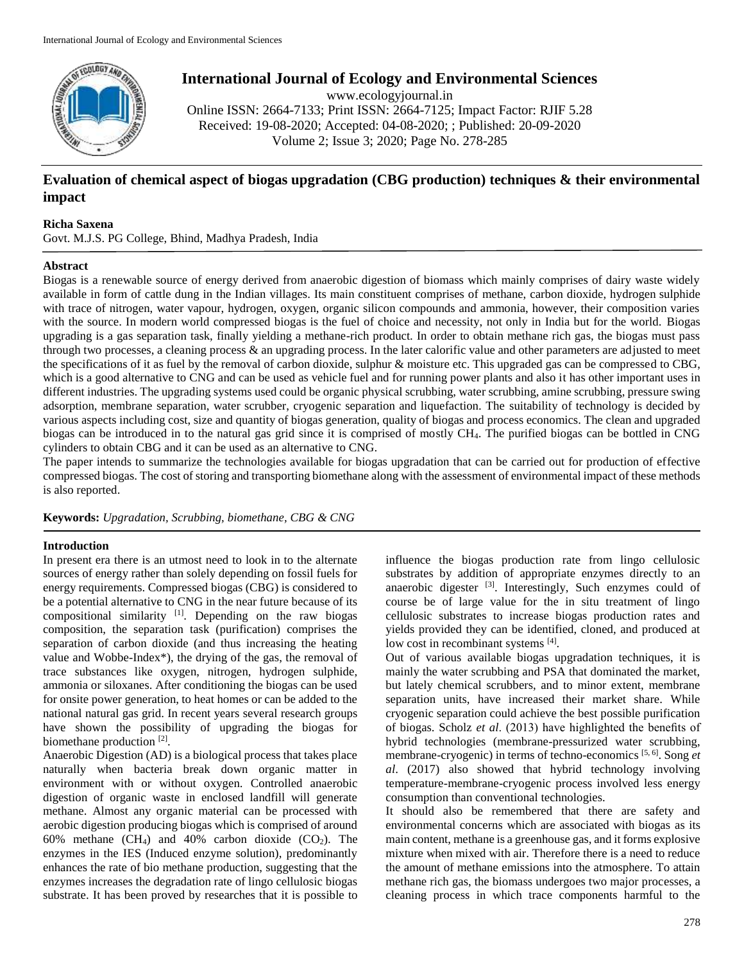

# **International Journal of Ecology and Environmental Sciences**

www.ecologyjournal.in Online ISSN: 2664-7133; Print ISSN: 2664-7125; Impact Factor: RJIF 5.28 Received: 19-08-2020; Accepted: 04-08-2020; ; Published: 20-09-2020 Volume 2; Issue 3; 2020; Page No. 278-285

## **Evaluation of chemical aspect of biogas upgradation (CBG production) techniques & their environmental impact**

## **Richa Saxena**

Govt. M.J.S. PG College, Bhind, Madhya Pradesh, India

## **Abstract**

Biogas is a renewable source of energy derived from anaerobic digestion of biomass which mainly comprises of dairy waste widely available in form of cattle dung in the Indian villages. Its main constituent comprises of methane, carbon dioxide, hydrogen sulphide with trace of nitrogen, water vapour, hydrogen, oxygen, organic silicon compounds and ammonia, however, their composition varies with the source. In modern world compressed biogas is the fuel of choice and necessity, not only in India but for the world. Biogas upgrading is a gas separation task, finally yielding a methane-rich product. In order to obtain methane rich gas, the biogas must pass through two processes, a cleaning process  $\&$  an upgrading process. In the later calorific value and other parameters are adjusted to meet the specifications of it as fuel by the removal of carbon dioxide, sulphur & moisture etc. This upgraded gas can be compressed to CBG, which is a good alternative to CNG and can be used as vehicle fuel and for running power plants and also it has other important uses in different industries. The upgrading systems used could be organic physical scrubbing, water scrubbing, amine scrubbing, pressure swing adsorption, membrane separation, water scrubber, cryogenic separation and liquefaction. The suitability of technology is decided by various aspects including cost, size and quantity of biogas generation, quality of biogas and process economics. The clean and upgraded biogas can be introduced in to the natural gas grid since it is comprised of mostly CH4. The purified biogas can be bottled in CNG cylinders to obtain CBG and it can be used as an alternative to CNG.

The paper intends to summarize the technologies available for biogas upgradation that can be carried out for production of effective compressed biogas. The cost of storing and transporting biomethane along with the assessment of environmental impact of these methods is also reported.

**Keywords:** *Upgradation, Scrubbing, biomethane, CBG & CNG*

## **Introduction**

In present era there is an utmost need to look in to the alternate sources of energy rather than solely depending on fossil fuels for energy requirements. Compressed biogas (CBG) is considered to be a potential alternative to CNG in the near future because of its compositional similarity [1] . Depending on the raw biogas composition, the separation task (purification) comprises the separation of carbon dioxide (and thus increasing the heating value and Wobbe-Index\*), the drying of the gas, the removal of trace substances like oxygen, nitrogen, hydrogen sulphide, ammonia or siloxanes. After conditioning the biogas can be used for onsite power generation, to heat homes or can be added to the national natural gas grid. In recent years several research groups have shown the possibility of upgrading the biogas for biomethane production<sup>[2]</sup>.

Anaerobic Digestion (AD) is a biological process that takes place naturally when bacteria break down organic matter in environment with or without oxygen. Controlled anaerobic digestion of organic waste in enclosed landfill will generate methane. Almost any organic material can be processed with aerobic digestion producing biogas which is comprised of around 60% methane (CH<sub>4</sub>) and 40% carbon dioxide (CO<sub>2</sub>). The enzymes in the IES (Induced enzyme solution), predominantly enhances the rate of bio methane production, suggesting that the enzymes increases the degradation rate of lingo cellulosic biogas substrate. It has been proved by researches that it is possible to

influence the biogas production rate from lingo cellulosic substrates by addition of appropriate enzymes directly to an anaerobic digester <sup>[3]</sup>. Interestingly, Such enzymes could of course be of large value for the in situ treatment of lingo cellulosic substrates to increase biogas production rates and yields provided they can be identified, cloned, and produced at low cost in recombinant systems [4].

Out of various available biogas upgradation techniques, it is mainly the water scrubbing and PSA that dominated the market, but lately chemical scrubbers, and to minor extent, membrane separation units, have increased their market share. While cryogenic separation could achieve the best possible purification of biogas. Scholz *et al*. (2013) have highlighted the benefits of hybrid technologies (membrane-pressurized water scrubbing, membrane-cryogenic) in terms of techno-economics [5, 6] . Song *et al*. (2017) also showed that hybrid technology involving temperature-membrane-cryogenic process involved less energy consumption than conventional technologies.

It should also be remembered that there are safety and environmental concerns which are associated with biogas as its main content, methane is a greenhouse gas, and it forms explosive mixture when mixed with air. Therefore there is a need to reduce the amount of methane emissions into the atmosphere. To attain methane rich gas, the biomass undergoes two major processes, a cleaning process in which trace components harmful to the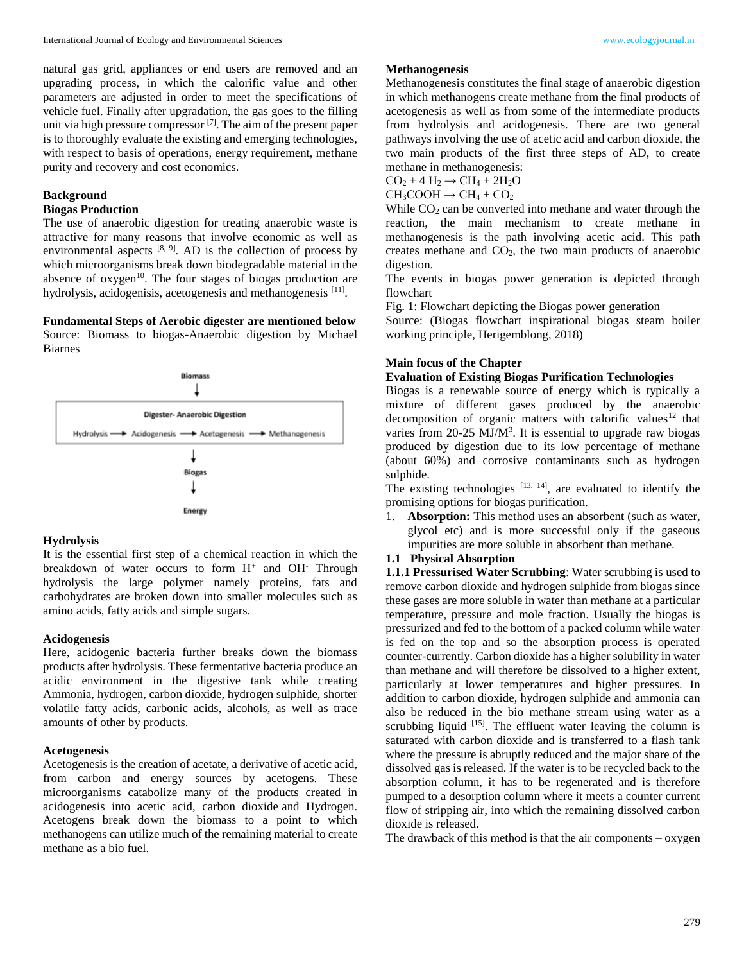natural gas grid, appliances or end users are removed and an upgrading process, in which the calorific value and other parameters are adjusted in order to meet the specifications of vehicle fuel. Finally after upgradation, the gas goes to the filling unit via high pressure compressor <sup>[7]</sup>. The aim of the present paper is to thoroughly evaluate the existing and emerging technologies, with respect to basis of operations, energy requirement, methane purity and recovery and cost economics.

#### **Background**

## **Biogas Production**

The use of anaerobic digestion for treating anaerobic waste is attractive for many reasons that involve economic as well as environmental aspects  $[8, 9]$ . AD is the collection of process by which microorganisms break down biodegradable material in the absence of  $oxygen^{10}$ . The four stages of biogas production are hydrolysis, acidogenisis, acetogenesis and methanogenesis [11].

## **Fundamental Steps of Aerobic digester are mentioned below**

Source: Biomass to biogas-Anaerobic digestion by Michael Biarnes



#### **Hydrolysis**

It is the essential first step of a chemical reaction in which the breakdown of water occurs to form  $H^+$  and OH<sup>-</sup> Through hydrolysis the large polymer namely proteins, fats and carbohydrates are broken down into smaller molecules such as amino acids, fatty acids and simple sugars.

#### **Acidogenesis**

Here, acidogenic bacteria further breaks down the biomass products after hydrolysis. These fermentative bacteria produce an acidic environment in the digestive tank while creating Ammonia, hydrogen, carbon dioxide, hydrogen sulphide, shorter volatile fatty acids, carbonic acids, alcohols, as well as trace amounts of other by products.

#### **Acetogenesis**

Acetogenesis is the creation of acetate, a derivative of acetic acid, from carbon and energy sources by acetogens. These microorganisms catabolize many of the products created in acidogenesis into acetic acid, carbon dioxide and Hydrogen. Acetogens break down the biomass to a point to which methanogens can utilize much of the remaining material to create methane as a bio fuel.

#### **Methanogenesis**

Methanogenesis constitutes the final stage of anaerobic digestion in which methanogens create methane from the final products of acetogenesis as well as from some of the intermediate products from hydrolysis and acidogenesis. There are two general pathways involving the use of acetic acid and carbon dioxide, the two main products of the first three steps of AD, to create methane in methanogenesis:

 $CO<sub>2</sub> + 4 H<sub>2</sub> \rightarrow CH<sub>4</sub> + 2H<sub>2</sub>O$  $CH_3COOH \rightarrow CH_4 + CO_2$ 

While  $CO<sub>2</sub>$  can be converted into methane and water through the reaction, the main mechanism to create methane in methanogenesis is the path involving acetic acid. This path creates methane and  $CO<sub>2</sub>$ , the two main products of anaerobic digestion.

The events in biogas power generation is depicted through flowchart

Fig. 1: Flowchart depicting the Biogas power generation

Source: (Biogas flowchart inspirational biogas steam boiler working principle, Herigemblong, 2018)

## **Main focus of the Chapter**

## **Evaluation of Existing Biogas Purification Technologies**

Biogas is a renewable source of energy which is typically a mixture of different gases produced by the anaerobic decomposition of organic matters with calorific values<sup>12</sup> that varies from  $20-25$  MJ/ $M<sup>3</sup>$ . It is essential to upgrade raw biogas produced by digestion due to its low percentage of methane (about 60%) and corrosive contaminants such as hydrogen sulphide.

The existing technologies  $[13, 14]$ , are evaluated to identify the promising options for biogas purification.

1. **Absorption:** This method uses an absorbent (such as water, glycol etc) and is more successful only if the gaseous impurities are more soluble in absorbent than methane.

#### **1.1 Physical Absorption**

**1.1.1 Pressurised Water Scrubbing**: Water scrubbing is used to remove carbon dioxide and hydrogen sulphide from biogas since these gases are more soluble in water than methane at a particular temperature, pressure and mole fraction. Usually the biogas is pressurized and fed to the bottom of a packed column while water is fed on the top and so the absorption process is operated counter-currently. Carbon dioxide has a higher solubility in water than methane and will therefore be dissolved to a higher extent, particularly at lower temperatures and higher pressures. In addition to carbon dioxide, hydrogen sulphide and ammonia can also be reduced in the bio methane stream using water as a scrubbing liquid  $[15]$ . The effluent water leaving the column is saturated with carbon dioxide and is transferred to a flash tank where the pressure is abruptly reduced and the major share of the dissolved gas is released. If the water is to be recycled back to the absorption column, it has to be regenerated and is therefore pumped to a desorption column where it meets a counter current flow of stripping air, into which the remaining dissolved carbon dioxide is released.

The drawback of this method is that the air components  $-\alpha x$  year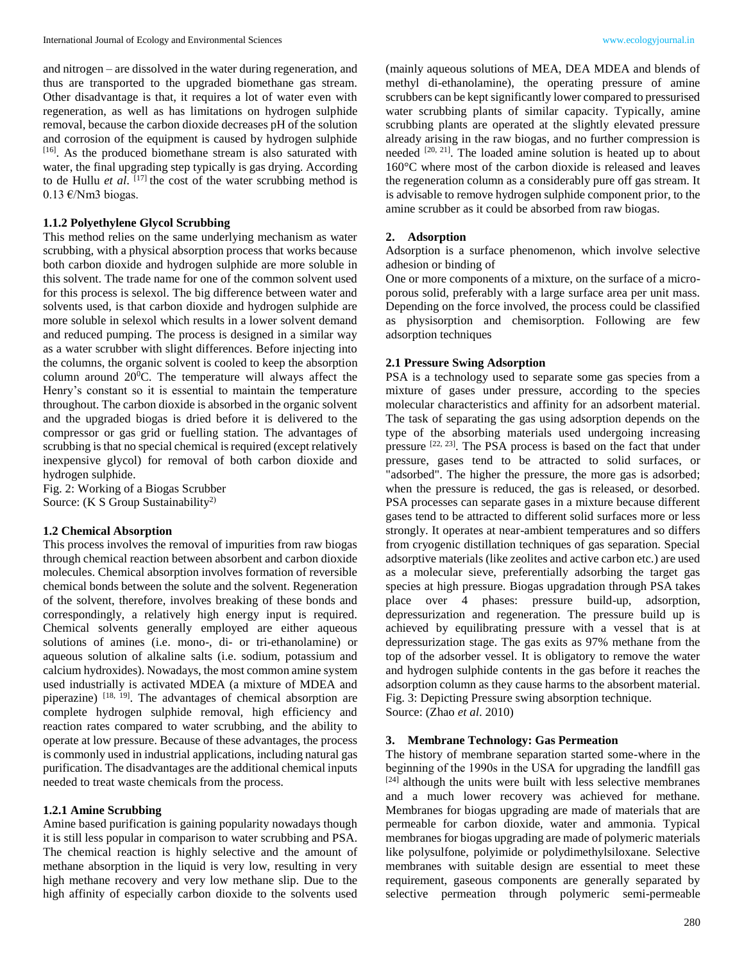and nitrogen – are dissolved in the water during regeneration, and thus are transported to the upgraded biomethane gas stream. Other disadvantage is that, it requires a lot of water even with regeneration, as well as has limitations on hydrogen sulphide removal, because the carbon dioxide decreases pH of the solution and corrosion of the equipment is caused by hydrogen sulphide [16]. As the produced biomethane stream is also saturated with water, the final upgrading step typically is gas drying. According to de Hullu *et al*. [17] the cost of the water scrubbing method is 0.13 €/Nm3 biogas.

#### **1.1.2 Polyethylene Glycol Scrubbing**

This method relies on the same underlying mechanism as water scrubbing, with a physical absorption process that works because both carbon dioxide and hydrogen sulphide are more soluble in this solvent. The trade name for one of the common solvent used for this process is selexol. The big difference between water and solvents used, is that carbon dioxide and hydrogen sulphide are more soluble in selexol which results in a lower solvent demand and reduced pumping. The process is designed in a similar way as a water scrubber with slight differences. Before injecting into the columns, the organic solvent is cooled to keep the absorption column around  $20^0$ C. The temperature will always affect the Henry's constant so it is essential to maintain the temperature throughout. The carbon dioxide is absorbed in the organic solvent and the upgraded biogas is dried before it is delivered to the compressor or gas grid or fuelling station. The advantages of scrubbing is that no special chemical is required (except relatively inexpensive glycol) for removal of both carbon dioxide and hydrogen sulphide.

Fig. 2: Working of a Biogas Scrubber Source: (K S Group Sustainability<sup>2)</sup>

#### **1.2 Chemical Absorption**

This process involves the removal of impurities from raw biogas through chemical reaction between absorbent and carbon dioxide molecules. Chemical absorption involves formation of reversible chemical bonds between the solute and the solvent. Regeneration of the solvent, therefore, involves breaking of these bonds and correspondingly, a relatively high energy input is required. Chemical solvents generally employed are either aqueous solutions of amines (i.e. mono-, di- or tri-ethanolamine) or aqueous solution of alkaline salts (i.e. sodium, potassium and calcium hydroxides). Nowadays, the most common amine system used industrially is activated MDEA (a mixture of MDEA and piperazine) [18, 19]. The advantages of chemical absorption are complete hydrogen sulphide removal, high efficiency and reaction rates compared to water scrubbing, and the ability to operate at low pressure. Because of these advantages, the process is commonly used in industrial applications, including natural gas purification. The disadvantages are the additional chemical inputs needed to treat waste chemicals from the process.

#### **1.2.1 Amine Scrubbing**

Amine based purification is gaining popularity nowadays though it is still less popular in comparison to water scrubbing and PSA. The chemical reaction is highly selective and the amount of methane absorption in the liquid is very low, resulting in very high methane recovery and very low methane slip. Due to the high affinity of especially carbon dioxide to the solvents used

(mainly aqueous solutions of MEA, DEA MDEA and blends of methyl di-ethanolamine), the operating pressure of amine scrubbers can be kept significantly lower compared to pressurised water scrubbing plants of similar capacity. Typically, amine scrubbing plants are operated at the slightly elevated pressure already arising in the raw biogas, and no further compression is needed <sup>[20, 21]</sup>. The loaded amine solution is heated up to about 160°C where most of the carbon dioxide is released and leaves the regeneration column as a considerably pure off gas stream. It is advisable to remove hydrogen sulphide component prior, to the amine scrubber as it could be absorbed from raw biogas.

#### **2. Adsorption**

Adsorption is a surface phenomenon, which involve selective adhesion or binding of

One or more components of a mixture, on the surface of a microporous solid, preferably with a large surface area per unit mass. Depending on the force involved, the process could be classified as physisorption and chemisorption. Following are few adsorption techniques

#### **2.1 Pressure Swing Adsorption**

PSA is a technology used to separate some gas species from a mixture of gases under pressure, according to the species molecular characteristics and affinity for an adsorbent material. The task of separating the gas using adsorption depends on the type of the absorbing materials used undergoing increasing pressure <sup>[22, 23]</sup>. The PSA process is based on the fact that under pressure, gases tend to be attracted to solid surfaces, or "adsorbed". The higher the pressure, the more gas is adsorbed; when the pressure is reduced, the gas is released, or desorbed. PSA processes can separate gases in a mixture because different gases tend to be attracted to different solid surfaces more or less strongly. It operates at near-ambient temperatures and so differs from cryogenic distillation techniques of gas separation. Special adsorptive materials (like zeolites and active carbon etc.) are used as a molecular sieve, preferentially adsorbing the target gas species at high pressure. Biogas upgradation through PSA takes place over 4 phases: pressure build-up, adsorption, depressurization and regeneration. The pressure build up is achieved by equilibrating pressure with a vessel that is at depressurization stage. The gas exits as 97% methane from the top of the adsorber vessel. It is obligatory to remove the water and hydrogen sulphide contents in the gas before it reaches the adsorption column as they cause harms to the absorbent material. Fig. 3: Depicting Pressure swing absorption technique. Source: (Zhao *et al*. 2010)

#### **3. Membrane Technology: Gas Permeation**

The history of membrane separation started some-where in the beginning of the 1990s in the USA for upgrading the landfill gas [24] although the units were built with less selective membranes and a much lower recovery was achieved for methane. Membranes for biogas upgrading are made of materials that are permeable for carbon dioxide, water and ammonia. Typical membranes for biogas upgrading are made of polymeric materials like polysulfone, polyimide or polydimethylsiloxane. Selective membranes with suitable design are essential to meet these requirement, gaseous components are generally separated by selective permeation through polymeric semi-permeable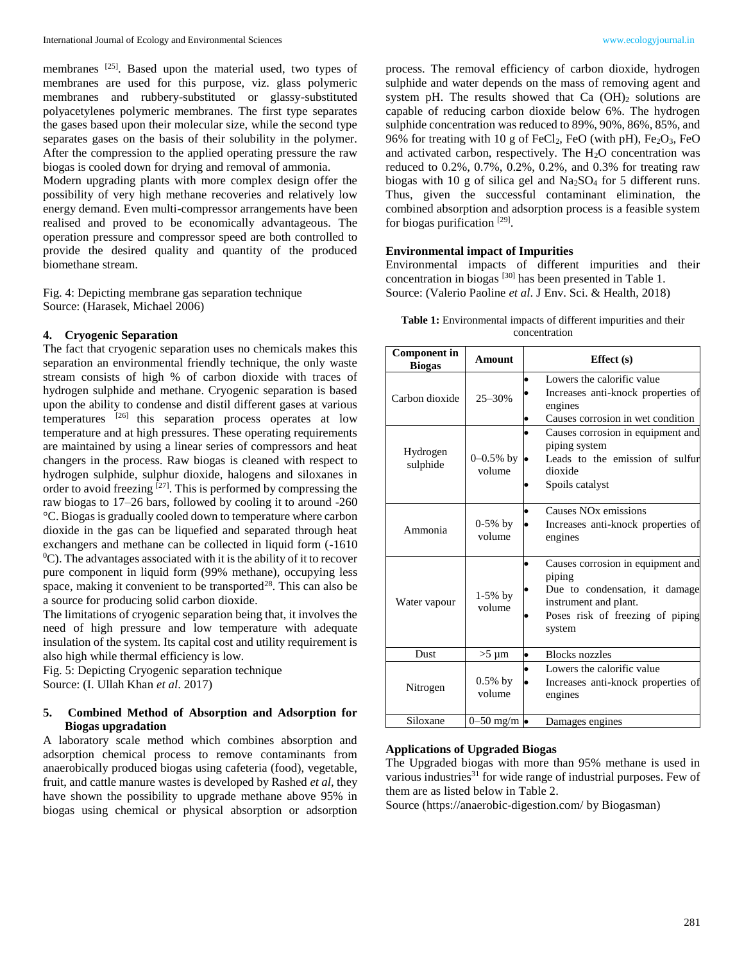membranes <sup>[25]</sup>. Based upon the material used, two types of membranes are used for this purpose, viz. glass polymeric membranes and rubbery-substituted or glassy-substituted polyacetylenes polymeric membranes. The first type separates the gases based upon their molecular size, while the second type separates gases on the basis of their solubility in the polymer. After the compression to the applied operating pressure the raw biogas is cooled down for drying and removal of ammonia.

Modern upgrading plants with more complex design offer the possibility of very high methane recoveries and relatively low energy demand. Even multi-compressor arrangements have been realised and proved to be economically advantageous. The operation pressure and compressor speed are both controlled to provide the desired quality and quantity of the produced biomethane stream.

Fig. 4: Depicting membrane gas separation technique Source: (Harasek, Michael 2006)

## **4. Cryogenic Separation**

The fact that cryogenic separation uses no chemicals makes this separation an environmental friendly technique, the only waste stream consists of high % of carbon dioxide with traces of hydrogen sulphide and methane. Cryogenic separation is based upon the ability to condense and distil different gases at various temperatures <sup>[26]</sup> this separation process operates at low temperature and at high pressures. These operating requirements are maintained by using a linear series of compressors and heat changers in the process. Raw biogas is cleaned with respect to hydrogen sulphide, sulphur dioxide, halogens and siloxanes in order to avoid freezing <sup>[27]</sup>. This is performed by compressing the raw biogas to 17–26 bars, followed by cooling it to around -260 °C. Biogas is gradually cooled down to temperature where carbon dioxide in the gas can be liquefied and separated through heat exchangers and methane can be collected in liquid form (-1610  $^{0}$ C). The advantages associated with it is the ability of it to recover pure component in liquid form (99% methane), occupying less space, making it convenient to be transported $^{28}$ . This can also be a source for producing solid carbon dioxide.

The limitations of cryogenic separation being that, it involves the need of high pressure and low temperature with adequate insulation of the system. Its capital cost and utility requirement is also high while thermal efficiency is low.

Fig. 5: Depicting Cryogenic separation technique Source: (I. Ullah Khan *et al*. 2017)

## **5. Combined Method of Absorption and Adsorption for Biogas upgradation**

A laboratory scale method which combines absorption and adsorption chemical process to remove contaminants from anaerobically produced biogas using cafeteria (food), vegetable, fruit, and cattle manure wastes is developed by Rashed *et al*, they have shown the possibility to upgrade methane above 95% in biogas using chemical or physical absorption or adsorption

process. The removal efficiency of carbon dioxide, hydrogen sulphide and water depends on the mass of removing agent and system pH. The results showed that Ca  $(OH)_2$  solutions are capable of reducing carbon dioxide below 6%. The hydrogen sulphide concentration was reduced to 89%, 90%, 86%, 85%, and 96% for treating with 10 g of  $FeCl<sub>2</sub>$ , FeO (with pH),  $Fe<sub>2</sub>O<sub>3</sub>$ , FeO and activated carbon, respectively. The  $H_2O$  concentration was reduced to 0.2%, 0.7%, 0.2%, 0.2%, and 0.3% for treating raw biogas with 10 g of silica gel and  $Na<sub>2</sub>SO<sub>4</sub>$  for 5 different runs. Thus, given the successful contaminant elimination, the combined absorption and adsorption process is a feasible system for biogas purification [29].

## **Environmental impact of Impurities**

Environmental impacts of different impurities and their concentration in biogas [30] has been presented in Table 1. Source: (Valerio Paoline *et al*. J Env. Sci. & Health, 2018)

| <b>Table 1:</b> Environmental impacts of different impurities and their |
|-------------------------------------------------------------------------|
| concentration                                                           |

| <b>Component in</b><br><b>Biogas</b> | Amount                   | Effect $(s)$                                                                                                                                                      |  |  |
|--------------------------------------|--------------------------|-------------------------------------------------------------------------------------------------------------------------------------------------------------------|--|--|
| Carbon dioxide                       | $25 - 30%$               | Lowers the calorific value<br>$\bullet$<br>Increases anti-knock properties of<br>engines<br>Causes corrosion in wet condition                                     |  |  |
| Hydrogen<br>sulphide                 | $0 - 0.5\%$ by<br>volume | Causes corrosion in equipment and<br>piping system<br>Leads to the emission of sulfur<br>dioxide<br>Spoils catalyst                                               |  |  |
| Ammonia                              | $0-5%$ by<br>volume      | Causes NO <sub>x</sub> emissions<br>$\bullet$<br>Increases anti-knock properties of<br>engines                                                                    |  |  |
| Water vapour                         | $1-5%$ by<br>volume      | Causes corrosion in equipment and<br>$\bullet$<br>piping<br>Due to condensation, it damage<br>instrument and plant.<br>Poses risk of freezing of piping<br>system |  |  |
| <b>Dust</b>                          | $>5 \mu m$               | <b>Blocks</b> nozzles<br>$\bullet$                                                                                                                                |  |  |
| Nitrogen                             | $0.5\%$ by<br>volume     | Lowers the calorific value<br>Increases anti-knock properties of<br>engines                                                                                       |  |  |
| Siloxane                             | $0-50$ mg/m $\bullet$    | Damages engines                                                                                                                                                   |  |  |

## **Applications of Upgraded Biogas**

The Upgraded biogas with more than 95% methane is used in various industries<sup>31</sup> for wide range of industrial purposes. Few of them are as listed below in Table 2.

Source (https://anaerobic-digestion.com/ by Biogasman)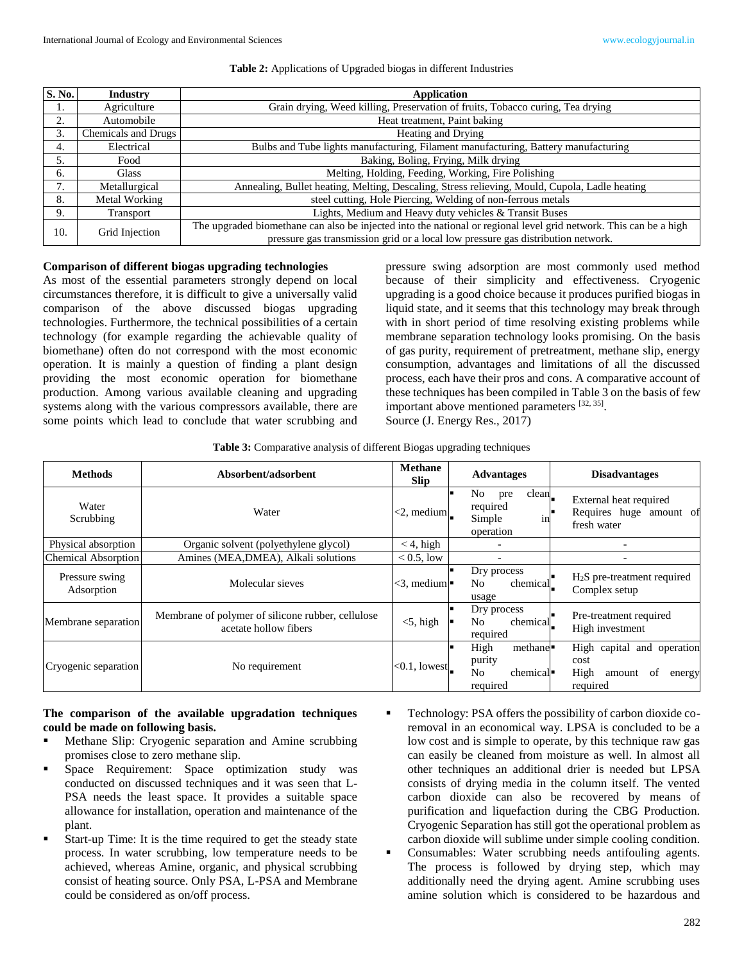| $\overline{\mathbf{S}}$ . No. | <b>Industry</b>     | Application                                                                                                                                                                                           |
|-------------------------------|---------------------|-------------------------------------------------------------------------------------------------------------------------------------------------------------------------------------------------------|
| 1.                            | Agriculture         | Grain drying, Weed killing, Preservation of fruits, Tobacco curing, Tea drying                                                                                                                        |
| 2.                            | Automobile          | Heat treatment, Paint baking                                                                                                                                                                          |
| 3.                            | Chemicals and Drugs | Heating and Drying                                                                                                                                                                                    |
| 4.                            | Electrical          | Bulbs and Tube lights manufacturing, Filament manufacturing, Battery manufacturing                                                                                                                    |
|                               | Food                | Baking, Boling, Frying, Milk drying                                                                                                                                                                   |
| 6.                            | <b>Glass</b>        | Melting, Holding, Feeding, Working, Fire Polishing                                                                                                                                                    |
|                               | Metallurgical       | Annealing, Bullet heating, Melting, Descaling, Stress relieving, Mould, Cupola, Ladle heating                                                                                                         |
| 8.                            | Metal Working       | steel cutting, Hole Piercing, Welding of non-ferrous metals                                                                                                                                           |
| 9.                            | Transport           | Lights, Medium and Heavy duty vehicles & Transit Buses                                                                                                                                                |
| 10.                           | Grid Injection      | The upgraded biomethane can also be injected into the national or regional level grid network. This can be a high<br>pressure gas transmission grid or a local low pressure gas distribution network. |

## **Comparison of different biogas upgrading technologies**

As most of the essential parameters strongly depend on local circumstances therefore, it is difficult to give a universally valid comparison of the above discussed biogas upgrading technologies. Furthermore, the technical possibilities of a certain technology (for example regarding the achievable quality of biomethane) often do not correspond with the most economic operation. It is mainly a question of finding a plant design providing the most economic operation for biomethane production. Among various available cleaning and upgrading systems along with the various compressors available, there are some points which lead to conclude that water scrubbing and pressure swing adsorption are most commonly used method because of their simplicity and effectiveness. Cryogenic upgrading is a good choice because it produces purified biogas in liquid state, and it seems that this technology may break through with in short period of time resolving existing problems while membrane separation technology looks promising. On the basis of gas purity, requirement of pretreatment, methane slip, energy consumption, advantages and limitations of all the discussed process, each have their pros and cons. A comparative account of these techniques has been compiled in Table 3 on the basis of few important above mentioned parameters [32, 35]. Source (J. Energy Res., 2017)

| Table 3: Comparative analysis of different Biogas upgrading techniques |  |  |  |
|------------------------------------------------------------------------|--|--|--|
|                                                                        |  |  |  |

| <b>Methods</b>               | Absorbent/adsorbent                                                        |                              | <b>Advantages</b>                                                                             | <b>Disadvantages</b>                                                             |  |
|------------------------------|----------------------------------------------------------------------------|------------------------------|-----------------------------------------------------------------------------------------------|----------------------------------------------------------------------------------|--|
| Water<br>Scrubbing           | Water                                                                      | $<$ 2, medium                | clean<br>No<br>pre<br>required<br>Simple<br>1n<br>operation                                   | External heat required<br>Requires huge amount of<br>fresh water                 |  |
| Physical absorption          | Organic solvent (polyethylene glycol)                                      | $<$ 4, high                  |                                                                                               |                                                                                  |  |
| <b>Chemical Absorption</b>   | Amines (MEA,DMEA), Alkali solutions                                        | $< 0.5$ , low                |                                                                                               |                                                                                  |  |
| Pressure swing<br>Adsorption | Molecular sieves                                                           | $<$ 3, medium $\blacksquare$ | Dry process<br>N <sub>0</sub><br>chemical<br>usage                                            | $H2S$ pre-treatment required<br>Complex setup                                    |  |
| Membrane separation          | Membrane of polymer of silicone rubber, cellulose<br>acetate hollow fibers | $<$ 5, high                  | Dry process<br>No<br>chemical<br>required                                                     | Pre-treatment required<br>High investment                                        |  |
| Cryogenic separation         | No requirement                                                             | $<$ 0.1, lowest.             | High<br>methane <sup>.</sup><br>purity<br>N <sub>o</sub><br>chemical <sup>.</sup><br>required | High capital and operation<br>cost<br>High<br>of<br>amount<br>energy<br>required |  |

## **The comparison of the available upgradation techniques could be made on following basis.**

- Methane Slip: Cryogenic separation and Amine scrubbing promises close to zero methane slip.
- Space Requirement: Space optimization study was conducted on discussed techniques and it was seen that L-PSA needs the least space. It provides a suitable space allowance for installation, operation and maintenance of the plant.
- Start-up Time: It is the time required to get the steady state process. In water scrubbing, low temperature needs to be achieved, whereas Amine, organic, and physical scrubbing consist of heating source. Only PSA, L-PSA and Membrane could be considered as on/off process.
- Technology: PSA offers the possibility of carbon dioxide coremoval in an economical way. LPSA is concluded to be a low cost and is simple to operate, by this technique raw gas can easily be cleaned from moisture as well. In almost all other techniques an additional drier is needed but LPSA consists of drying media in the column itself. The vented carbon dioxide can also be recovered by means of purification and liquefaction during the CBG Production. Cryogenic Separation has still got the operational problem as carbon dioxide will sublime under simple cooling condition.
- Consumables: Water scrubbing needs antifouling agents. The process is followed by drying step, which may additionally need the drying agent. Amine scrubbing uses amine solution which is considered to be hazardous and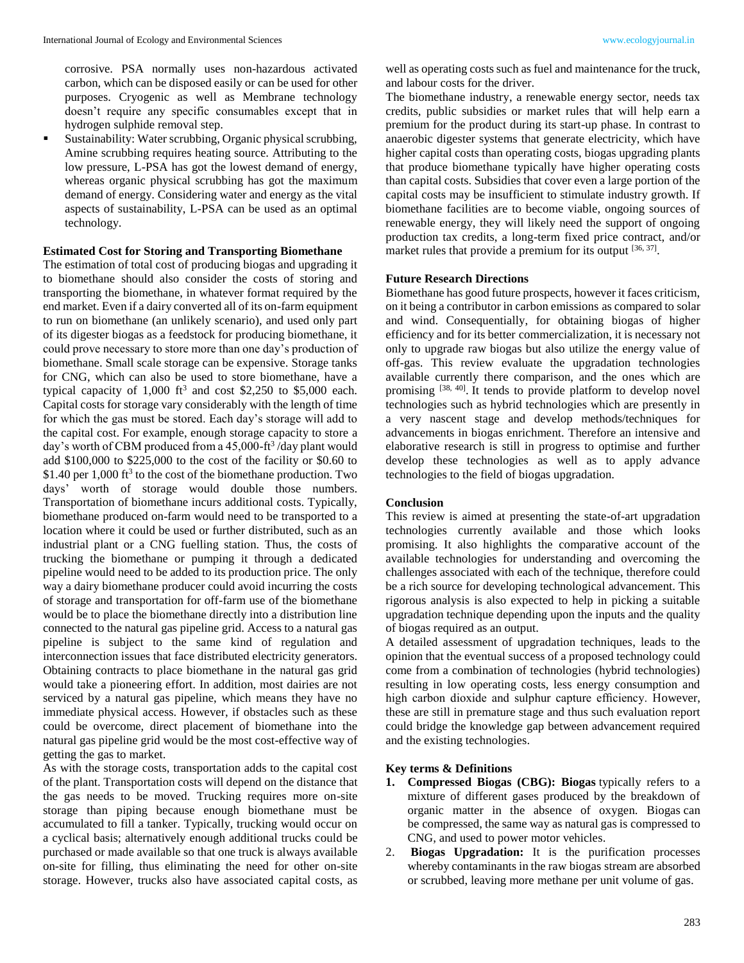corrosive. PSA normally uses non-hazardous activated carbon, which can be disposed easily or can be used for other purposes. Cryogenic as well as Membrane technology doesn't require any specific consumables except that in hydrogen sulphide removal step.

 Sustainability: Water scrubbing, Organic physical scrubbing, Amine scrubbing requires heating source. Attributing to the low pressure, L-PSA has got the lowest demand of energy, whereas organic physical scrubbing has got the maximum demand of energy. Considering water and energy as the vital aspects of sustainability, L-PSA can be used as an optimal technology.

#### **Estimated Cost for Storing and Transporting Biomethane**

The estimation of total cost of producing biogas and upgrading it to biomethane should also consider the costs of storing and transporting the biomethane, in whatever format required by the end market. Even if a dairy converted all of its on-farm equipment to run on biomethane (an unlikely scenario), and used only part of its digester biogas as a feedstock for producing biomethane, it could prove necessary to store more than one day's production of biomethane. Small scale storage can be expensive. Storage tanks for CNG, which can also be used to store biomethane, have a typical capacity of  $1,000$  ft<sup>3</sup> and cost \$2,250 to \$5,000 each. Capital costs for storage vary considerably with the length of time for which the gas must be stored. Each day's storage will add to the capital cost. For example, enough storage capacity to store a day's worth of CBM produced from a 45,000-ft<sup>3</sup>/day plant would add \$100,000 to \$225,000 to the cost of the facility or \$0.60 to  $$1.40$  per 1,000 ft<sup>3</sup> to the cost of the biomethane production. Two days' worth of storage would double those numbers. Transportation of biomethane incurs additional costs. Typically, biomethane produced on-farm would need to be transported to a location where it could be used or further distributed, such as an industrial plant or a CNG fuelling station. Thus, the costs of trucking the biomethane or pumping it through a dedicated pipeline would need to be added to its production price. The only way a dairy biomethane producer could avoid incurring the costs of storage and transportation for off-farm use of the biomethane would be to place the biomethane directly into a distribution line connected to the natural gas pipeline grid. Access to a natural gas pipeline is subject to the same kind of regulation and interconnection issues that face distributed electricity generators. Obtaining contracts to place biomethane in the natural gas grid would take a pioneering effort. In addition, most dairies are not serviced by a natural gas pipeline, which means they have no immediate physical access. However, if obstacles such as these could be overcome, direct placement of biomethane into the natural gas pipeline grid would be the most cost-effective way of getting the gas to market.

As with the storage costs, transportation adds to the capital cost of the plant. Transportation costs will depend on the distance that the gas needs to be moved. Trucking requires more on-site storage than piping because enough biomethane must be accumulated to fill a tanker. Typically, trucking would occur on a cyclical basis; alternatively enough additional trucks could be purchased or made available so that one truck is always available on-site for filling, thus eliminating the need for other on-site storage. However, trucks also have associated capital costs, as

well as operating costs such as fuel and maintenance for the truck, and labour costs for the driver.

The biomethane industry, a renewable energy sector, needs tax credits, public subsidies or market rules that will help earn a premium for the product during its start-up phase. In contrast to anaerobic digester systems that generate electricity, which have higher capital costs than operating costs, biogas upgrading plants that produce biomethane typically have higher operating costs than capital costs. Subsidies that cover even a large portion of the capital costs may be insufficient to stimulate industry growth. If biomethane facilities are to become viable, ongoing sources of renewable energy, they will likely need the support of ongoing production tax credits, a long-term fixed price contract, and/or market rules that provide a premium for its output  $[36, 37]$ .

#### **Future Research Directions**

Biomethane has good future prospects, however it faces criticism, on it being a contributor in carbon emissions as compared to solar and wind. Consequentially, for obtaining biogas of higher efficiency and for its better commercialization, it is necessary not only to upgrade raw biogas but also utilize the energy value of off-gas. This review evaluate the upgradation technologies available currently there comparison, and the ones which are promising [38, 40]. It tends to provide platform to develop novel technologies such as hybrid technologies which are presently in a very nascent stage and develop methods/techniques for advancements in biogas enrichment. Therefore an intensive and elaborative research is still in progress to optimise and further develop these technologies as well as to apply advance technologies to the field of biogas upgradation.

## **Conclusion**

This review is aimed at presenting the state-of-art upgradation technologies currently available and those which looks promising. It also highlights the comparative account of the available technologies for understanding and overcoming the challenges associated with each of the technique, therefore could be a rich source for developing technological advancement. This rigorous analysis is also expected to help in picking a suitable upgradation technique depending upon the inputs and the quality of biogas required as an output.

A detailed assessment of upgradation techniques, leads to the opinion that the eventual success of a proposed technology could come from a combination of technologies (hybrid technologies) resulting in low operating costs, less energy consumption and high carbon dioxide and sulphur capture efficiency. However, these are still in premature stage and thus such evaluation report could bridge the knowledge gap between advancement required and the existing technologies.

#### **Key terms & Definitions**

- **1. Compressed Biogas (CBG): Biogas** typically refers to a mixture of different gases produced by the breakdown of organic matter in the absence of oxygen. Biogas can be compressed, the same way as natural gas is compressed to CNG, and used to power motor vehicles.
- 2. **Biogas Upgradation:** It is the purification processes whereby contaminants in the raw biogas stream are absorbed or scrubbed, leaving more methane per unit volume of gas.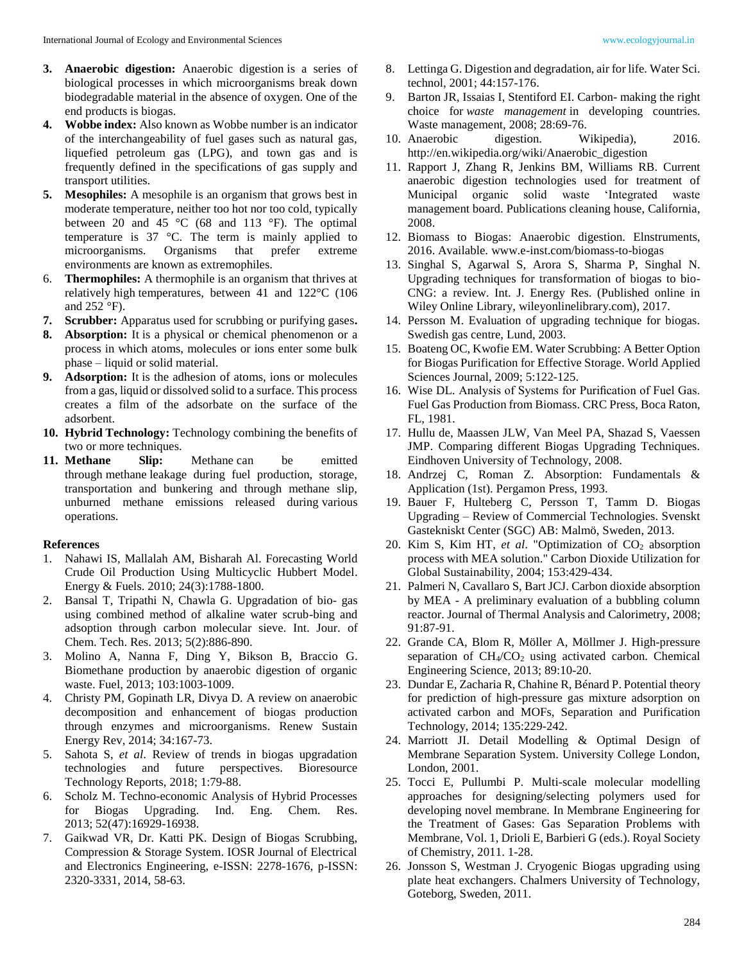- **3. Anaerobic digestion:** Anaerobic digestion is a series of biological processes in which microorganisms break down biodegradable material in the absence of oxygen. One of the end products is biogas.
- **4. Wobbe index:** Also known as Wobbe number is an indicator of the interchangeability of fuel gases such as natural gas, liquefied petroleum gas (LPG), and town gas and is frequently defined in the specifications of gas supply and transport utilities.
- **5. Mesophiles:** A mesophile is an organism that grows best in moderate temperature, neither too hot nor too cold, typically between 20 and 45  $\degree$ C (68 and 113  $\degree$ F). The optimal temperature is 37 °C. The term is mainly applied to microorganisms. Organisms that prefer extreme environments are known as extremophiles.
- 6. **Thermophiles:** A thermophile is an organism that thrives at relatively high temperatures, between 41 and 122°C (106 and 252 °F).
- **7. Scrubber:** Apparatus used for scrubbing or purifying gases**.**
- **8. Absorption:** It is a physical or chemical phenomenon or a process in which atoms, molecules or ions enter some bulk phase – liquid or solid material.
- **9. Adsorption:** It is the adhesion of atoms, ions or molecules from a gas, liquid or dissolved solid to a surface. This process creates a film of the adsorbate on the surface of the adsorbent.
- **10. Hybrid Technology:** Technology combining the benefits of two or more techniques.
- **11. Methane Slip:** Methane can be emitted through methane leakage during fuel production, storage, transportation and bunkering and through methane slip, unburned methane emissions released during various operations.

## **References**

- 1. Nahawi IS, Mallalah AM, Bisharah Al. Forecasting World Crude Oil Production Using Multicyclic Hubbert Model. Energy & Fuels. 2010; 24(3):1788-1800.
- 2. Bansal T, Tripathi N, Chawla G. Upgradation of bio- gas using combined method of alkaline water scrub-bing and adsoption through carbon molecular sieve. Int. Jour. of Chem. Tech. Res. 2013; 5(2):886-890.
- 3. Molino A, Nanna F, Ding Y, Bikson B, Braccio G. Biomethane production by anaerobic digestion of organic waste. Fuel, 2013; 103:1003-1009.
- 4. Christy PM, Gopinath LR, Divya D. A review on anaerobic decomposition and enhancement of biogas production through enzymes and microorganisms. Renew Sustain Energy Rev, 2014; 34:167-73.
- 5. Sahota S, *et al*. Review of trends in biogas upgradation technologies and future perspectives. Bioresource Technology Reports, 2018; 1:79-88.
- 6. Scholz M. Techno-economic Analysis of Hybrid Processes for Biogas Upgrading. Ind. Eng. Chem. Res. 2013; 52(47):16929-16938.
- 7. Gaikwad VR, Dr. Katti PK. Design of Biogas Scrubbing, Compression & Storage System. IOSR Journal of Electrical and Electronics Engineering, e-ISSN: 2278-1676, p-ISSN: 2320-3331, 2014, 58-63.
- technol, 2001; 44:157-176.
- 9. Barton JR, Issaias I, Stentiford EI. Carbon- making the right choice for *waste management* in developing countries. Waste management, 2008; 28:69-76.
- 10. Anaerobic digestion. Wikipedia), 2016. http://en.wikipedia.org/wiki/Anaerobic\_digestion
- 11. Rapport J, Zhang R, Jenkins BM, Williams RB. Current anaerobic digestion technologies used for treatment of Municipal organic solid waste 'Integrated waste management board. Publications cleaning house, California, 2008.
- 12. Biomass to Biogas: Anaerobic digestion. Elnstruments, 2016. Available. www.e-inst.com/biomass-to-biogas
- 13. Singhal S, Agarwal S, Arora S, Sharma P, Singhal N. Upgrading techniques for transformation of biogas to bio-CNG: a review. Int. J. Energy Res. (Published online in Wiley Online Library, wileyonlinelibrary.com), 2017.
- 14. Persson M. Evaluation of upgrading technique for biogas. Swedish gas centre, Lund, 2003.
- 15. Boateng OC, Kwofie EM. Water Scrubbing: A Better Option for Biogas Purification for Effective Storage. World Applied Sciences Journal, 2009; 5:122-125.
- 16. Wise DL. Analysis of Systems for Purification of Fuel Gas. Fuel Gas Production from Biomass. CRC Press, Boca Raton, FL, 1981.
- 17. Hullu de, Maassen JLW, Van Meel PA, Shazad S, Vaessen JMP. Comparing different Biogas Upgrading Techniques. Eindhoven University of Technology, 2008.
- 18. Andrzej C, Roman Z. Absorption: Fundamentals & Application (1st). Pergamon Press, 1993.
- 19. Bauer F, Hulteberg C, Persson T, Tamm D. Biogas Upgrading – Review of Commercial Technologies. Svenskt Gastekniskt Center (SGC) AB: Malmö, Sweden, 2013.
- 20. Kim S, Kim HT, *et al.* "Optimization of CO<sub>2</sub> absorption process with MEA solution." Carbon Dioxide Utilization for Global Sustainability, 2004; 153:429-434.
- 21. Palmeri N, Cavallaro S, Bart JCJ. Carbon dioxide absorption by MEA - A preliminary evaluation of a bubbling column reactor. Journal of Thermal Analysis and Calorimetry, 2008; 91:87-91.
- 22. Grande CA, Blom R, Möller A, Möllmer J. High-pressure separation of  $CH<sub>4</sub>/CO<sub>2</sub>$  using activated carbon. Chemical Engineering Science, 2013; 89:10-20.
- 23. Dundar E, Zacharia R, Chahine R, Bénard P. Potential theory for prediction of high-pressure gas mixture adsorption on activated carbon and MOFs, Separation and Purification Technology, 2014; 135:229-242.
- 24. Marriott JI. Detail Modelling & Optimal Design of Membrane Separation System. University College London, London, 2001.
- 25. Tocci E, Pullumbi P. Multi-scale molecular modelling approaches for designing/selecting polymers used for developing novel membrane. In Membrane Engineering for the Treatment of Gases: Gas Separation Problems with Membrane, Vol. 1, Drioli E, Barbieri G (eds.). Royal Society of Chemistry, 2011. 1-28.
- 26. Jonsson S, Westman J. Cryogenic Biogas upgrading using plate heat exchangers. Chalmers University of Technology, Goteborg, Sweden, 2011.